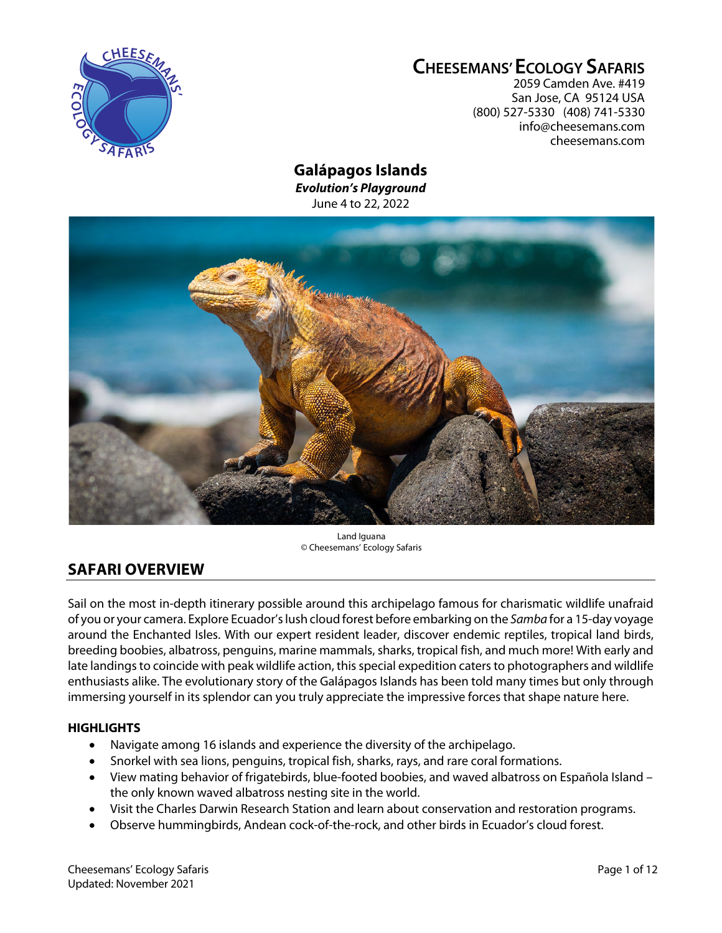

# **CHEESEMANS' ECOLOGY SAFARIS**

2059 Camden Ave. #419 San Jose, CA 95124 USA (800) 527-5330 (408) 741-5330 info@cheesemans.com cheesemans.com

# **Galápagos Islands**

*Evolution's Playground* June 4 to 22, 2022



Land Iguana © Cheesemans' Ecology Safaris

# **SAFARI OVERVIEW**

Sail on the most in-depth itinerary possible around this archipelago famous for charismatic wildlife unafraid of you or your camera. Explore Ecuador'slush cloud forest before embarking on the *Samba* for a 15-day voyage around the Enchanted Isles. With our expert resident leader, discover endemic reptiles, tropical land birds, breeding boobies, albatross, penguins, marine mammals, sharks, tropical fish, and much more! With early and late landings to coincide with peak wildlife action, this special expedition caters to photographers and wildlife enthusiasts alike. The evolutionary story of the Galápagos Islands has been told many times but only through immersing yourself in its splendor can you truly appreciate the impressive forces that shape nature here.

## **HIGHLIGHTS**

- Navigate among 16 islands and experience the diversity of the archipelago.
- Snorkel with sea lions, penguins, tropical fish, sharks, rays, and rare coral formations.
- View mating behavior of frigatebirds, blue-footed boobies, and waved albatross on Española Island the only known waved albatross nesting site in the world.
- Visit the Charles Darwin Research Station and learn about conservation and restoration programs.
- Observe hummingbirds, Andean cock-of-the-rock, and other birds in Ecuador's cloud forest.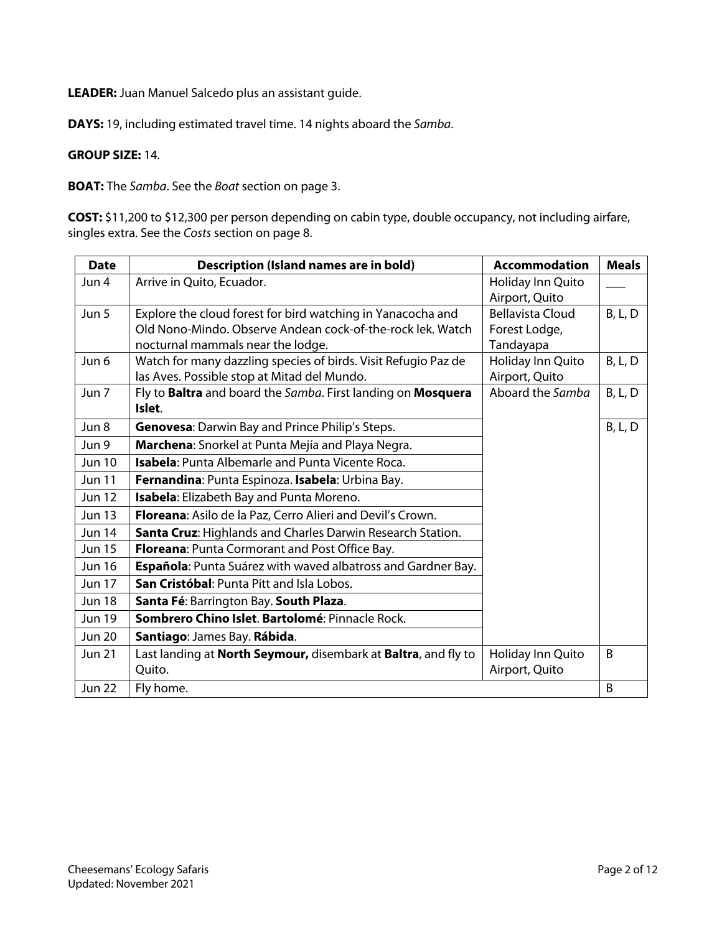**LEADER:** Juan Manuel Salcedo plus an assistant guide.

**DAYS:** 19, including estimated travel time. 14 nights aboard the *Samba*.

### **GROUP SIZE:** 14.

**BOAT:** The *Samba*. See the *Boat* section on page 3.

**COST:** \$11,200 to \$12,300 per person depending on cabin type, double occupancy, not including airfare, singles extra. See the *Costs* section on page 8.

| <b>Date</b>   | <b>Description (Island names are in bold)</b>                  | <b>Accommodation</b>    | <b>Meals</b>   |
|---------------|----------------------------------------------------------------|-------------------------|----------------|
| Jun 4         | Arrive in Quito, Ecuador.                                      | Holiday Inn Quito       |                |
|               |                                                                | Airport, Quito          |                |
| Jun 5         | Explore the cloud forest for bird watching in Yanacocha and    | <b>Bellavista Cloud</b> | B, L, D        |
|               | Old Nono-Mindo. Observe Andean cock-of-the-rock lek. Watch     | Forest Lodge,           |                |
|               | nocturnal mammals near the lodge.                              | Tandayapa               |                |
| Jun 6         | Watch for many dazzling species of birds. Visit Refugio Paz de | Holiday Inn Quito       | <b>B, L, D</b> |
|               | las Aves. Possible stop at Mitad del Mundo.                    | Airport, Quito          |                |
| Jun 7         | Fly to Baltra and board the Samba. First landing on Mosquera   | Aboard the Samba        | B, L, D        |
|               | Islet.                                                         |                         |                |
| Jun 8         | Genovesa: Darwin Bay and Prince Philip's Steps.                |                         | B, L, D        |
| Jun 9         | Marchena: Snorkel at Punta Mejía and Playa Negra.              |                         |                |
| <b>Jun 10</b> | Isabela: Punta Albemarle and Punta Vicente Roca.               |                         |                |
| <b>Jun 11</b> | Fernandina: Punta Espinoza. Isabela: Urbina Bay.               |                         |                |
| <b>Jun 12</b> | Isabela: Elizabeth Bay and Punta Moreno.                       |                         |                |
| <b>Jun 13</b> | Floreana: Asilo de la Paz, Cerro Alieri and Devil's Crown.     |                         |                |
| Jun 14        | Santa Cruz: Highlands and Charles Darwin Research Station.     |                         |                |
| <b>Jun 15</b> | Floreana: Punta Cormorant and Post Office Bay.                 |                         |                |
| <b>Jun 16</b> | Española: Punta Suárez with waved albatross and Gardner Bay.   |                         |                |
| <b>Jun 17</b> | San Cristóbal: Punta Pitt and Isla Lobos.                      |                         |                |
| <b>Jun 18</b> | Santa Fé: Barrington Bay. South Plaza.                         |                         |                |
| <b>Jun 19</b> | Sombrero Chino Islet. Bartolomé: Pinnacle Rock.                |                         |                |
| <b>Jun 20</b> | Santiago: James Bay. Rábida.                                   |                         |                |
| <b>Jun 21</b> | Last landing at North Seymour, disembark at Baltra, and fly to | Holiday Inn Quito       | B              |
|               | Quito.                                                         | Airport, Quito          |                |
| <b>Jun 22</b> | Fly home.                                                      |                         | B              |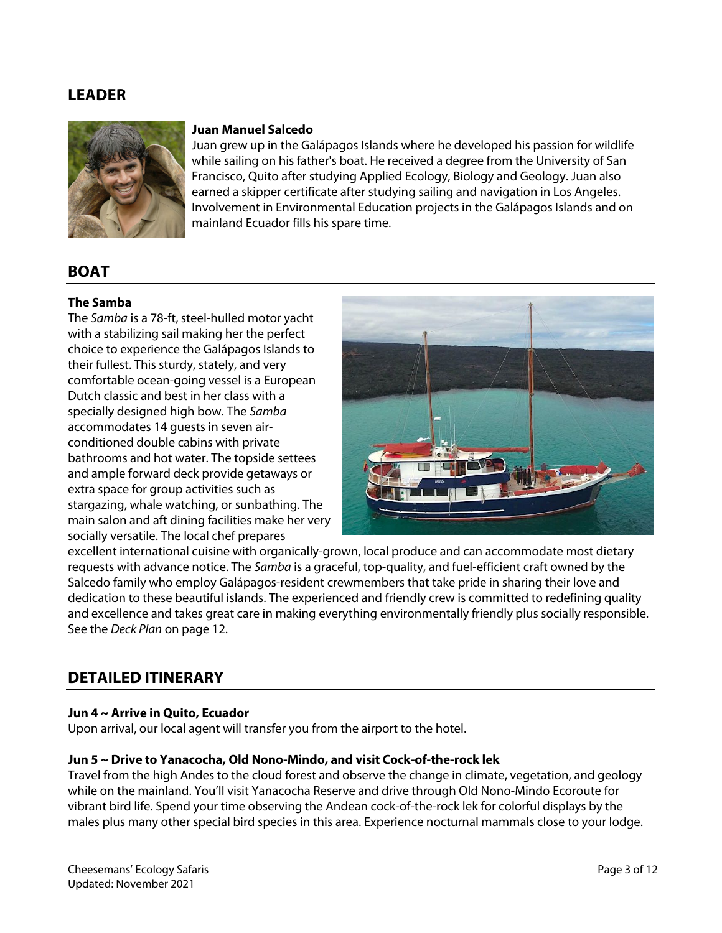## **LEADER**



### **Juan Manuel Salcedo**

Juan grew up in the Galápagos Islands where he developed his passion for wildlife while sailing on his father's boat. He received a degree from the University of San Francisco, Quito after studying Applied Ecology, Biology and Geology. Juan also earned a skipper certificate after studying sailing and navigation in Los Angeles. Involvement in Environmental Education projects in the Galápagos Islands and on mainland Ecuador fills his spare time.

# **BOAT**

## **The Samba**

The *Samba* is a 78-ft, steel-hulled motor yacht with a stabilizing sail making her the perfect choice to experience the Galápagos Islands to their fullest. This sturdy, stately, and very comfortable ocean-going vessel is a European Dutch classic and best in her class with a specially designed high bow. The *Samba* accommodates 14 guests in seven airconditioned double cabins with private bathrooms and hot water. The topside settees and ample forward deck provide getaways or extra space for group activities such as stargazing, whale watching, or sunbathing. The main salon and aft dining facilities make her very socially versatile. The local chef prepares



excellent international cuisine with organically-grown, local produce and can accommodate most dietary requests with advance notice. The *Samba* is a graceful, top-quality, and fuel-efficient craft owned by the Salcedo family who employ Galápagos-resident crewmembers that take pride in sharing their love and dedication to these beautiful islands. The experienced and friendly crew is committed to redefining quality and excellence and takes great care in making everything environmentally friendly plus socially responsible. See the *Deck Plan* on page 12.

## **DETAILED ITINERARY**

### **Jun 4 ~ Arrive in Quito, Ecuador**

Upon arrival, our local agent will transfer you from the airport to the hotel.

### **Jun 5 ~ Drive to Yanacocha, Old Nono-Mindo, and visit Cock-of-the-rock lek**

Travel from the high Andes to the cloud forest and observe the change in climate, vegetation, and geology while on the mainland. You'll visit Yanacocha Reserve and drive through Old Nono-Mindo Ecoroute for vibrant bird life. Spend your time observing the Andean cock-of-the-rock lek for colorful displays by the males plus many other special bird species in this area. Experience nocturnal mammals close to your lodge.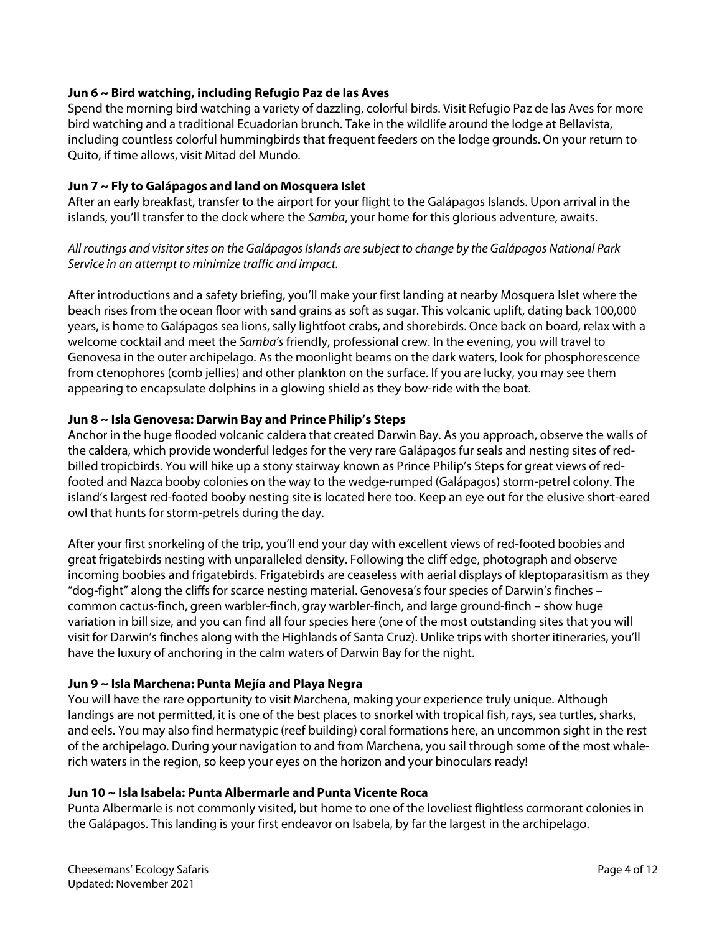## **Jun 6 ~ Bird watching, including Refugio Paz de las Aves**

Spend the morning bird watching a variety of dazzling, colorful birds. Visit Refugio Paz de las Aves for more bird watching and a traditional Ecuadorian brunch. Take in the wildlife around the lodge at Bellavista, including countless colorful hummingbirds that frequent feeders on the lodge grounds. On your return to Quito, if time allows, visit Mitad del Mundo.

## **Jun 7 ~ Fly to Galápagos and land on Mosquera Islet**

After an early breakfast, transfer to the airport for your flight to the Galápagos Islands. Upon arrival in the islands, you'll transfer to the dock where the *Samba*, your home for this glorious adventure, awaits.

*All routings and visitor sites on the Galápagos Islands are subject to change by the Galápagos National Park Service in an attempt to minimize traffic and impact.*

After introductions and a safety briefing, you'll make your first landing at nearby Mosquera Islet where the beach rises from the ocean floor with sand grains as soft as sugar. This volcanic uplift, dating back 100,000 years, is home to Galápagos sea lions, sally lightfoot crabs, and shorebirds. Once back on board, relax with a welcome cocktail and meet the *Samba's* friendly, professional crew. In the evening, you will travel to Genovesa in the outer archipelago. As the moonlight beams on the dark waters, look for phosphorescence from ctenophores (comb jellies) and other plankton on the surface. If you are lucky, you may see them appearing to encapsulate dolphins in a glowing shield as they bow-ride with the boat.

## **Jun 8 ~ Isla Genovesa: Darwin Bay and Prince Philip's Steps**

Anchor in the huge flooded volcanic caldera that created Darwin Bay. As you approach, observe the walls of the caldera, which provide wonderful ledges for the very rare Galápagos fur seals and nesting sites of redbilled tropicbirds. You will hike up a stony stairway known as Prince Philip's Steps for great views of redfooted and Nazca booby colonies on the way to the wedge-rumped (Galápagos) storm-petrel colony. The island's largest red-footed booby nesting site is located here too. Keep an eye out for the elusive short-eared owl that hunts for storm-petrels during the day.

After your first snorkeling of the trip, you'll end your day with excellent views of red-footed boobies and great frigatebirds nesting with unparalleled density. Following the cliff edge, photograph and observe incoming boobies and frigatebirds. Frigatebirds are ceaseless with aerial displays of kleptoparasitism as they "dog-fight" along the cliffs for scarce nesting material. Genovesa's four species of Darwin's finches – common cactus-finch, green warbler-finch, gray warbler-finch, and large ground-finch – show huge variation in bill size, and you can find all four species here (one of the most outstanding sites that you will visit for Darwin's finches along with the Highlands of Santa Cruz). Unlike trips with shorter itineraries, you'll have the luxury of anchoring in the calm waters of Darwin Bay for the night.

## **Jun 9 ~ Isla Marchena: Punta Mejía and Playa Negra**

You will have the rare opportunity to visit Marchena, making your experience truly unique. Although landings are not permitted, it is one of the best places to snorkel with tropical fish, rays, sea turtles, sharks, and eels. You may also find hermatypic (reef building) coral formations here, an uncommon sight in the rest of the archipelago. During your navigation to and from Marchena, you sail through some of the most whalerich waters in the region, so keep your eyes on the horizon and your binoculars ready!

### **Jun 10 ~ Isla Isabela: Punta Albermarle and Punta Vicente Roca**

Punta Albermarle is not commonly visited, but home to one of the loveliest flightless cormorant colonies in the Galápagos. This landing is your first endeavor on Isabela, by far the largest in the archipelago.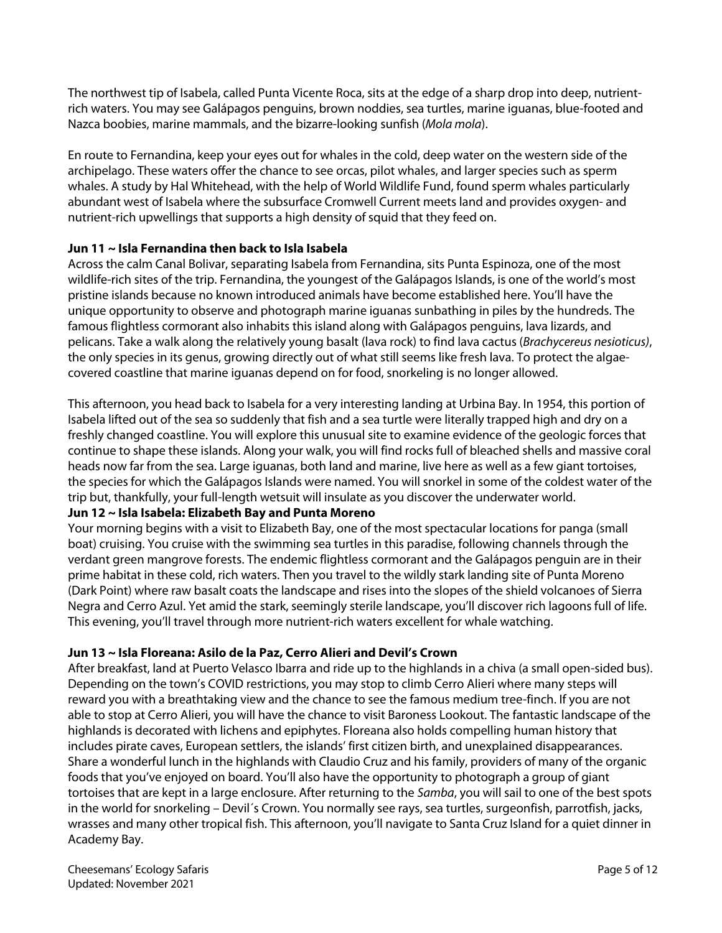The northwest tip of Isabela, called Punta Vicente Roca, sits at the edge of a sharp drop into deep, nutrientrich waters. You may see Galápagos penguins, brown noddies, sea turtles, marine iguanas, blue-footed and Nazca boobies, marine mammals, and the bizarre-looking sunfish (*Mola mola*).

En route to Fernandina, keep your eyes out for whales in the cold, deep water on the western side of the archipelago. These waters offer the chance to see orcas, pilot whales, and larger species such as sperm whales. A study by Hal Whitehead, with the help of World Wildlife Fund, found sperm whales particularly abundant west of Isabela where the subsurface Cromwell Current meets land and provides oxygen- and nutrient-rich upwellings that supports a high density of squid that they feed on.

## **Jun 11 ~ Isla Fernandina then back to Isla Isabela**

Across the calm Canal Bolivar, separating Isabela from Fernandina, sits Punta Espinoza, one of the most wildlife-rich sites of the trip. Fernandina, the youngest of the Galápagos Islands, is one of the world's most pristine islands because no known introduced animals have become established here. You'll have the unique opportunity to observe and photograph marine iguanas sunbathing in piles by the hundreds. The famous flightless cormorant also inhabits this island along with Galápagos penguins, lava lizards, and pelicans. Take a walk along the relatively young basalt (lava rock) to find lava cactus (*Brachycereus nesioticus)*, the only species in its genus, growing directly out of what still seems like fresh lava. To protect the algaecovered coastline that marine iguanas depend on for food, snorkeling is no longer allowed.

This afternoon, you head back to Isabela for a very interesting landing at Urbina Bay. In 1954, this portion of Isabela lifted out of the sea so suddenly that fish and a sea turtle were literally trapped high and dry on a freshly changed coastline. You will explore this unusual site to examine evidence of the geologic forces that continue to shape these islands. Along your walk, you will find rocks full of bleached shells and massive coral heads now far from the sea. Large iguanas, both land and marine, live here as well as a few giant tortoises, the species for which the Galápagos Islands were named. You will snorkel in some of the coldest water of the trip but, thankfully, your full-length wetsuit will insulate as you discover the underwater world.

## **Jun 12 ~ Isla Isabela: Elizabeth Bay and Punta Moreno**

Your morning begins with a visit to Elizabeth Bay, one of the most spectacular locations for panga (small boat) cruising. You cruise with the swimming sea turtles in this paradise, following channels through the verdant green mangrove forests. The endemic flightless cormorant and the Galápagos penguin are in their prime habitat in these cold, rich waters. Then you travel to the wildly stark landing site of Punta Moreno (Dark Point) where raw basalt coats the landscape and rises into the slopes of the shield volcanoes of Sierra Negra and Cerro Azul. Yet amid the stark, seemingly sterile landscape, you'll discover rich lagoons full of life. This evening, you'll travel through more nutrient-rich waters excellent for whale watching.

## **Jun 13 ~ Isla Floreana: Asilo de la Paz, Cerro Alieri and Devil's Crown**

After breakfast, land at Puerto Velasco Ibarra and ride up to the highlands in a chiva (a small open-sided bus). Depending on the town's COVID restrictions, you may stop to climb Cerro Alieri where many steps will reward you with a breathtaking view and the chance to see the famous medium tree-finch. If you are not able to stop at Cerro Alieri, you will have the chance to visit Baroness Lookout. The fantastic landscape of the highlands is decorated with lichens and epiphytes. Floreana also holds compelling human history that includes pirate caves, European settlers, the islands' first citizen birth, and unexplained disappearances. Share a wonderful lunch in the highlands with Claudio Cruz and his family, providers of many of the organic foods that you've enjoyed on board. You'll also have the opportunity to photograph a group of giant tortoises that are kept in a large enclosure. After returning to the *Samba*, you will sail to one of the best spots in the world for snorkeling – Devil´s Crown. You normally see rays, sea turtles, surgeonfish, parrotfish, jacks, wrasses and many other tropical fish. This afternoon, you'll navigate to Santa Cruz Island for a quiet dinner in Academy Bay.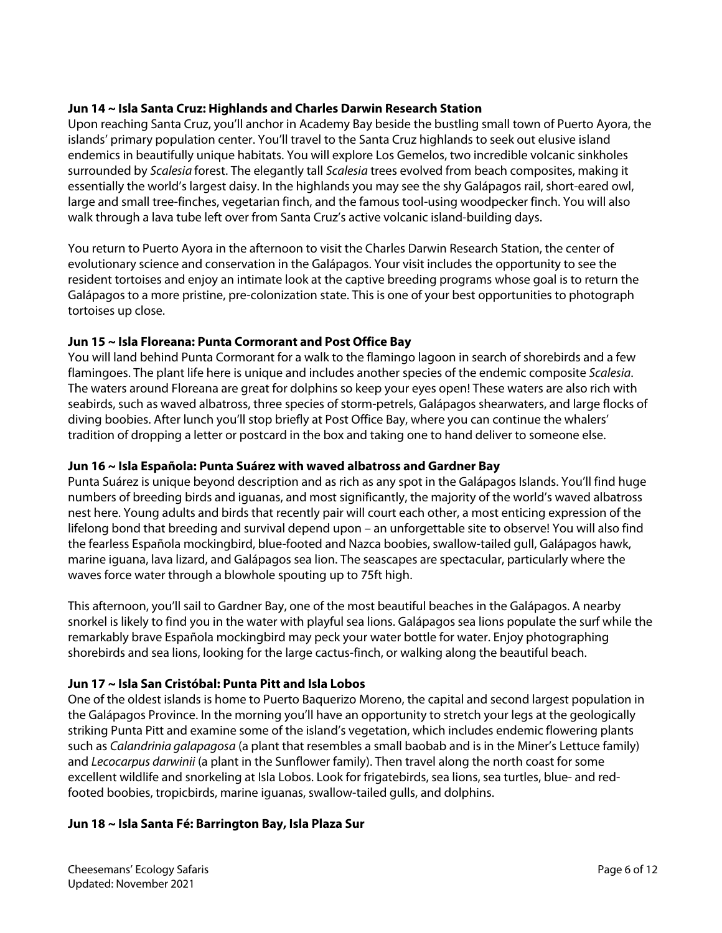## **Jun 14 ~ Isla Santa Cruz: Highlands and Charles Darwin Research Station**

Upon reaching Santa Cruz, you'll anchor in Academy Bay beside the bustling small town of Puerto Ayora, the islands' primary population center. You'll travel to the Santa Cruz highlands to seek out elusive island endemics in beautifully unique habitats. You will explore Los Gemelos, two incredible volcanic sinkholes surrounded by *Scalesia* forest. The elegantly tall *Scalesia* trees evolved from beach composites, making it essentially the world's largest daisy. In the highlands you may see the shy Galápagos rail, short-eared owl, large and small tree-finches, vegetarian finch, and the famous tool-using woodpecker finch. You will also walk through a lava tube left over from Santa Cruz's active volcanic island-building days.

You return to Puerto Ayora in the afternoon to visit the Charles Darwin Research Station, the center of evolutionary science and conservation in the Galápagos. Your visit includes the opportunity to see the resident tortoises and enjoy an intimate look at the captive breeding programs whose goal is to return the Galápagos to a more pristine, pre-colonization state. This is one of your best opportunities to photograph tortoises up close.

## **Jun 15 ~ Isla Floreana: Punta Cormorant and Post Office Bay**

You will land behind Punta Cormorant for a walk to the flamingo lagoon in search of shorebirds and a few flamingoes. The plant life here is unique and includes another species of the endemic composite *Scalesia*. The waters around Floreana are great for dolphins so keep your eyes open! These waters are also rich with seabirds, such as waved albatross, three species of storm-petrels, Galápagos shearwaters, and large flocks of diving boobies. After lunch you'll stop briefly at Post Office Bay, where you can continue the whalers' tradition of dropping a letter or postcard in the box and taking one to hand deliver to someone else.

## **Jun 16 ~ Isla Española: Punta Suárez with waved albatross and Gardner Bay**

Punta Suárez is unique beyond description and as rich as any spot in the Galápagos Islands. You'll find huge numbers of breeding birds and iguanas, and most significantly, the majority of the world's waved albatross nest here. Young adults and birds that recently pair will court each other, a most enticing expression of the lifelong bond that breeding and survival depend upon – an unforgettable site to observe! You will also find the fearless Española mockingbird, blue-footed and Nazca boobies, swallow-tailed gull, Galápagos hawk, marine iguana, lava lizard, and Galápagos sea lion. The seascapes are spectacular, particularly where the waves force water through a blowhole spouting up to 75ft high.

This afternoon, you'll sail to Gardner Bay, one of the most beautiful beaches in the Galápagos. A nearby snorkel is likely to find you in the water with playful sea lions. Galápagos sea lions populate the surf while the remarkably brave Española mockingbird may peck your water bottle for water. Enjoy photographing shorebirds and sea lions, looking for the large cactus-finch, or walking along the beautiful beach.

## **Jun 17 ~ Isla San Cristóbal: Punta Pitt and Isla Lobos**

One of the oldest islands is home to Puerto Baquerizo Moreno, the capital and second largest population in the Galápagos Province. In the morning you'll have an opportunity to stretch your legs at the geologically striking Punta Pitt and examine some of the island's vegetation, which includes endemic flowering plants such as *Calandrinia galapagosa* (a plant that resembles a small baobab and is in the Miner's Lettuce family) and *Lecocarpus darwinii* (a plant in the Sunflower family). Then travel along the north coast for some excellent wildlife and snorkeling at Isla Lobos. Look for frigatebirds, sea lions, sea turtles, blue- and redfooted boobies, tropicbirds, marine iguanas, swallow-tailed gulls, and dolphins.

### **Jun 18 ~ Isla Santa Fé: Barrington Bay, Isla Plaza Sur**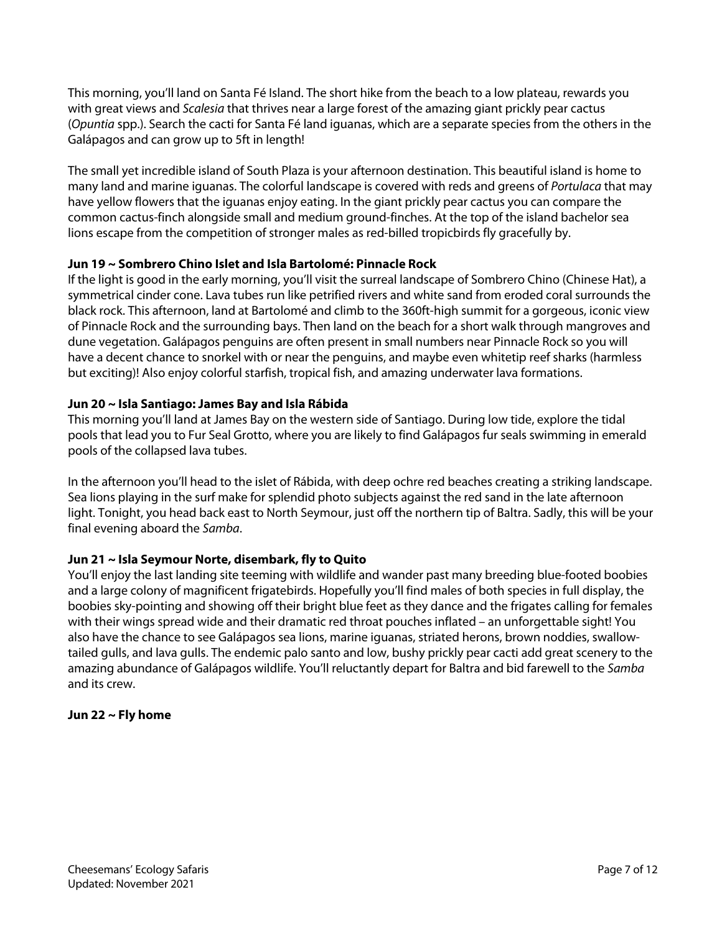This morning, you'll land on Santa Fé Island. The short hike from the beach to a low plateau, rewards you with great views and *Scalesia* that thrives near a large forest of the amazing giant prickly pear cactus (*Opuntia* spp.). Search the cacti for Santa Fé land iguanas, which are a separate species from the others in the Galápagos and can grow up to 5ft in length!

The small yet incredible island of South Plaza is your afternoon destination. This beautiful island is home to many land and marine iguanas. The colorful landscape is covered with reds and greens of *Portulaca* that may have yellow flowers that the iguanas enjoy eating. In the giant prickly pear cactus you can compare the common cactus-finch alongside small and medium ground-finches. At the top of the island bachelor sea lions escape from the competition of stronger males as red-billed tropicbirds fly gracefully by.

## **Jun 19 ~ Sombrero Chino Islet and Isla Bartolomé: Pinnacle Rock**

If the light is good in the early morning, you'll visit the surreal landscape of Sombrero Chino (Chinese Hat), a symmetrical cinder cone. Lava tubes run like petrified rivers and white sand from eroded coral surrounds the black rock. This afternoon, land at Bartolomé and climb to the 360ft-high summit for a gorgeous, iconic view of Pinnacle Rock and the surrounding bays. Then land on the beach for a short walk through mangroves and dune vegetation. Galápagos penguins are often present in small numbers near Pinnacle Rock so you will have a decent chance to snorkel with or near the penguins, and maybe even whitetip reef sharks (harmless but exciting)! Also enjoy colorful starfish, tropical fish, and amazing underwater lava formations.

## **Jun 20 ~ Isla Santiago: James Bay and Isla Rábida**

This morning you'll land at James Bay on the western side of Santiago. During low tide, explore the tidal pools that lead you to Fur Seal Grotto, where you are likely to find Galápagos fur seals swimming in emerald pools of the collapsed lava tubes.

In the afternoon you'll head to the islet of Rábida, with deep ochre red beaches creating a striking landscape. Sea lions playing in the surf make for splendid photo subjects against the red sand in the late afternoon light. Tonight, you head back east to North Seymour, just off the northern tip of Baltra. Sadly, this will be your final evening aboard the *Samba*.

## **Jun 21 ~ Isla Seymour Norte, disembark, fly to Quito**

You'll enjoy the last landing site teeming with wildlife and wander past many breeding blue-footed boobies and a large colony of magnificent frigatebirds. Hopefully you'll find males of both species in full display, the boobies sky-pointing and showing off their bright blue feet as they dance and the frigates calling for females with their wings spread wide and their dramatic red throat pouches inflated – an unforgettable sight! You also have the chance to see Galápagos sea lions, marine iguanas, striated herons, brown noddies, swallowtailed gulls, and lava gulls. The endemic palo santo and low, bushy prickly pear cacti add great scenery to the amazing abundance of Galápagos wildlife. You'll reluctantly depart for Baltra and bid farewell to the *Samba* and its crew.

## **Jun 22 ~ Fly home**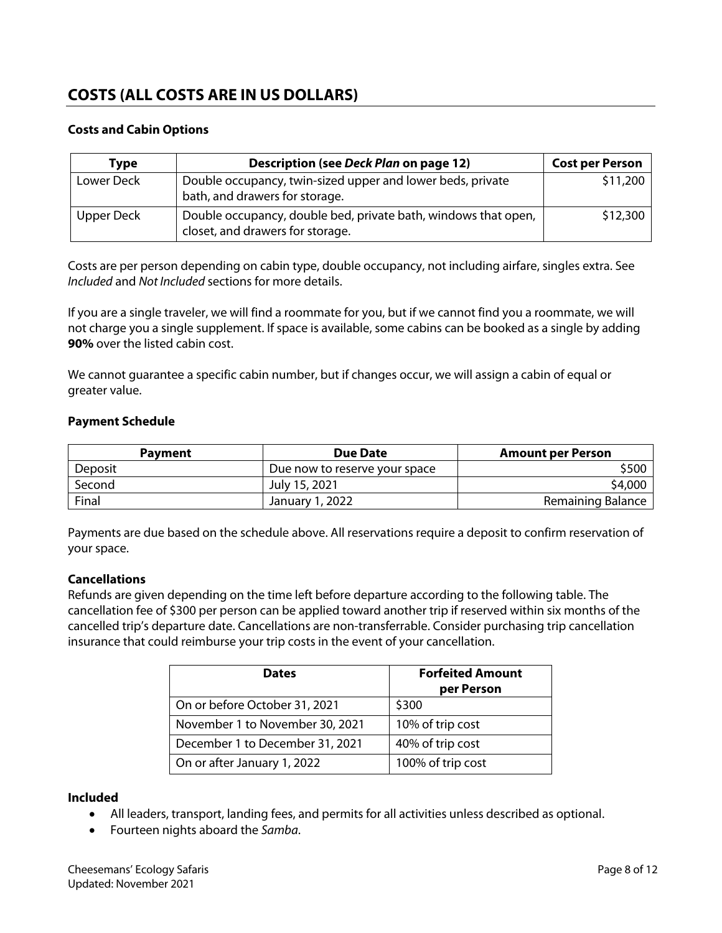# **COSTS (ALL COSTS ARE IN US DOLLARS)**

## **Costs and Cabin Options**

| Type       | <b>Description (see Deck Plan on page 12)</b>                                                      | <b>Cost per Person</b> |
|------------|----------------------------------------------------------------------------------------------------|------------------------|
| Lower Deck | Double occupancy, twin-sized upper and lower beds, private<br>bath, and drawers for storage.       | \$11,200               |
| Upper Deck | Double occupancy, double bed, private bath, windows that open,<br>closet, and drawers for storage. | \$12,300               |

Costs are per person depending on cabin type, double occupancy, not including airfare, singles extra. See *Included* and *Not Included* sections for more details.

If you are a single traveler, we will find a roommate for you, but if we cannot find you a roommate, we will not charge you a single supplement. If space is available, some cabins can be booked as a single by adding **90%** over the listed cabin cost.

We cannot guarantee a specific cabin number, but if changes occur, we will assign a cabin of equal or greater value.

### **Payment Schedule**

| <b>Payment</b> | Due Date                      | <b>Amount per Person</b> |
|----------------|-------------------------------|--------------------------|
| Deposit        | Due now to reserve your space | \$500.                   |
| Second         | July 15, 2021                 | \$4,000                  |
| Final          | January 1, 2022               | Remaining Balance        |

Payments are due based on the schedule above. All reservations require a deposit to confirm reservation of your space.

### **Cancellations**

Refunds are given depending on the time left before departure according to the following table. The cancellation fee of \$300 per person can be applied toward another trip if reserved within six months of the cancelled trip's departure date. Cancellations are non-transferrable. Consider purchasing trip cancellation insurance that could reimburse your trip costs in the event of your cancellation.

| <b>Dates</b>                    | <b>Forfeited Amount</b><br>per Person |
|---------------------------------|---------------------------------------|
| On or before October 31, 2021   | \$300                                 |
| November 1 to November 30, 2021 | 10% of trip cost                      |
| December 1 to December 31, 2021 | 40% of trip cost                      |
| On or after January 1, 2022     | 100% of trip cost                     |

#### **Included**

- All leaders, transport, landing fees, and permits for all activities unless described as optional.
- Fourteen nights aboard the *Samba*.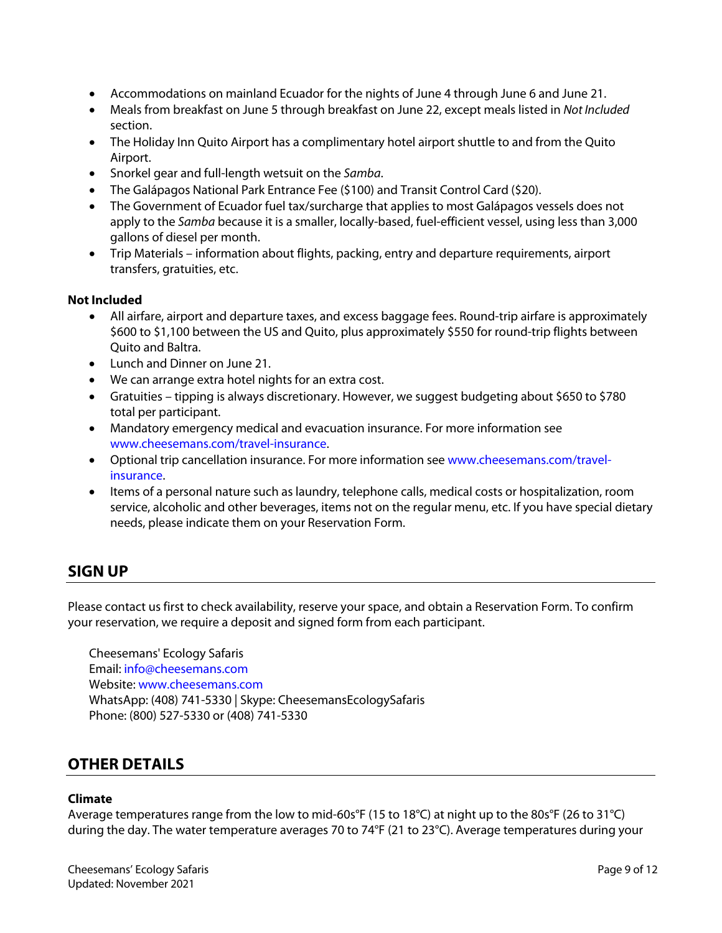- Accommodations on mainland Ecuador for the nights of June 4 through June 6 and June 21.
- Meals from breakfast on June 5 through breakfast on June 22, except meals listed in *Not Included* section.
- The Holiday Inn Quito Airport has a complimentary hotel airport shuttle to and from the Quito Airport.
- Snorkel gear and full-length wetsuit on the *Samba*.
- The Galápagos National Park Entrance Fee (\$100) and Transit Control Card (\$20).
- The Government of Ecuador fuel tax/surcharge that applies to most Galápagos vessels does not apply to the *Samba* because it is a smaller, locally-based, fuel-efficient vessel, using less than 3,000 gallons of diesel per month.
- Trip Materials information about flights, packing, entry and departure requirements, airport transfers, gratuities, etc.

### **Not Included**

- All airfare, airport and departure taxes, and excess baggage fees. Round-trip airfare is approximately \$600 to \$1,100 between the US and Quito, plus approximately \$550 for round-trip flights between Quito and Baltra.
- Lunch and Dinner on June 21.
- We can arrange extra hotel nights for an extra cost.
- Gratuities tipping is always discretionary. However, we suggest budgeting about \$650 to \$780 total per participant.
- Mandatory emergency medical and evacuation insurance. For more information see www.cheesemans.com/travel-insurance.
- Optional trip cancellation insurance. For more information see www.cheesemans.com/travelinsurance.
- Items of a personal nature such as laundry, telephone calls, medical costs or hospitalization, room service, alcoholic and other beverages, items not on the regular menu, etc. If you have special dietary needs, please indicate them on your Reservation Form.

## **SIGN UP**

Please contact us first to check availability, reserve your space, and obtain a Reservation Form. To confirm your reservation, we require a deposit and signed form from each participant.

Cheesemans' Ecology Safaris Email: info@cheesemans.com Website: www.cheesemans.com WhatsApp: (408) 741-5330 | Skype: CheesemansEcologySafaris Phone: (800) 527-5330 or (408) 741-5330

## **OTHER DETAILS**

#### **Climate**

Average temperatures range from the low to mid-60s°F (15 to 18°C) at night up to the 80s°F (26 to 31°C) during the day. The water temperature averages 70 to 74°F (21 to 23°C). Average temperatures during your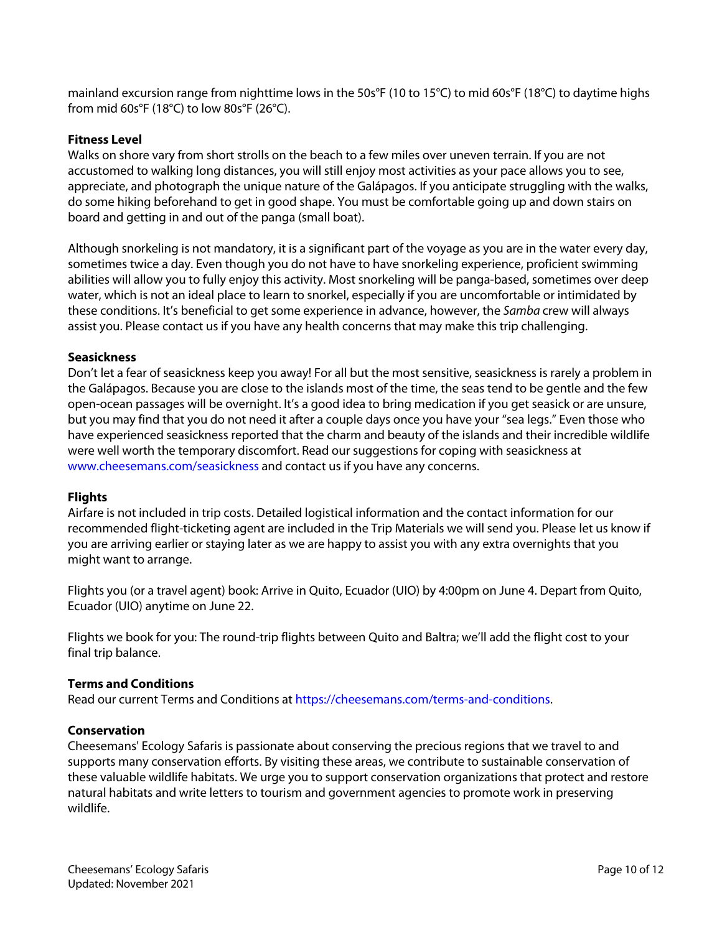mainland excursion range from nighttime lows in the 50s°F (10 to 15°C) to mid 60s°F (18°C) to daytime highs from mid 60s°F (18°C) to low 80s°F (26°C).

## **Fitness Level**

Walks on shore vary from short strolls on the beach to a few miles over uneven terrain. If you are not accustomed to walking long distances, you will still enjoy most activities as your pace allows you to see, appreciate, and photograph the unique nature of the Galápagos. If you anticipate struggling with the walks, do some hiking beforehand to get in good shape. You must be comfortable going up and down stairs on board and getting in and out of the panga (small boat).

Although snorkeling is not mandatory, it is a significant part of the voyage as you are in the water every day, sometimes twice a day. Even though you do not have to have snorkeling experience, proficient swimming abilities will allow you to fully enjoy this activity. Most snorkeling will be panga-based, sometimes over deep water, which is not an ideal place to learn to snorkel, especially if you are uncomfortable or intimidated by these conditions. It's beneficial to get some experience in advance, however, the *Samba* crew will always assist you. Please contact us if you have any health concerns that may make this trip challenging.

### **Seasickness**

Don't let a fear of seasickness keep you away! For all but the most sensitive, seasickness is rarely a problem in the Galápagos. Because you are close to the islands most of the time, the seas tend to be gentle and the few open-ocean passages will be overnight. It's a good idea to bring medication if you get seasick or are unsure, but you may find that you do not need it after a couple days once you have your "sea legs." Even those who have experienced seasickness reported that the charm and beauty of the islands and their incredible wildlife were well worth the temporary discomfort. Read our suggestions for coping with seasickness at www.cheesemans.com/seasickness and contact us if you have any concerns.

### **Flights**

Airfare is not included in trip costs. Detailed logistical information and the contact information for our recommended flight-ticketing agent are included in the Trip Materials we will send you. Please let us know if you are arriving earlier or staying later as we are happy to assist you with any extra overnights that you might want to arrange.

Flights you (or a travel agent) book: Arrive in Quito, Ecuador (UIO) by 4:00pm on June 4. Depart from Quito, Ecuador (UIO) anytime on June 22.

Flights we book for you: The round-trip flights between Quito and Baltra; we'll add the flight cost to your final trip balance.

### **Terms and Conditions**

Read our current Terms and Conditions at https://cheesemans.com/terms-and-conditions.

### **Conservation**

Cheesemans' Ecology Safaris is passionate about conserving the precious regions that we travel to and supports many conservation efforts. By visiting these areas, we contribute to sustainable conservation of these valuable wildlife habitats. We urge you to support conservation organizations that protect and restore natural habitats and write letters to tourism and government agencies to promote work in preserving wildlife.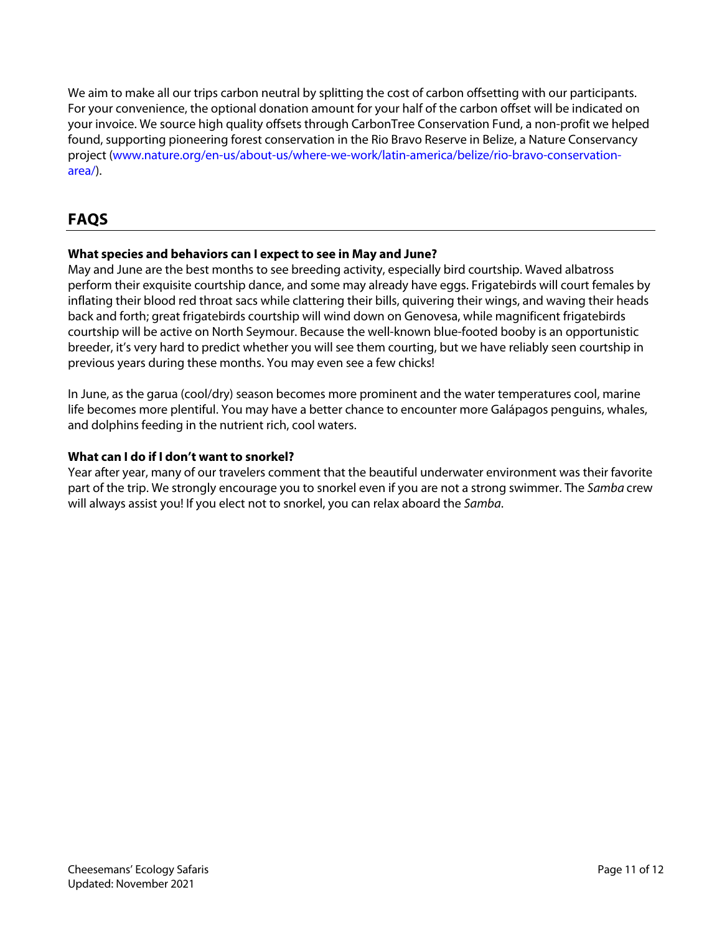We aim to make all our trips carbon neutral by splitting the cost of carbon offsetting with our participants. For your convenience, the optional donation amount for your half of the carbon offset will be indicated on your invoice. We source high quality offsets through CarbonTree Conservation Fund, a non-profit we helped found, supporting pioneering forest conservation in the Rio Bravo Reserve in Belize, a Nature Conservancy project (www.nature.org/en-us/about-us/where-we-work/latin-america/belize/rio-bravo-conservationarea/).

# **FAQS**

## **What species and behaviors can I expect to see in May and June?**

May and June are the best months to see breeding activity, especially bird courtship. Waved albatross perform their exquisite courtship dance, and some may already have eggs. Frigatebirds will court females by inflating their blood red throat sacs while clattering their bills, quivering their wings, and waving their heads back and forth; great frigatebirds courtship will wind down on Genovesa, while magnificent frigatebirds courtship will be active on North Seymour. Because the well-known blue-footed booby is an opportunistic breeder, it's very hard to predict whether you will see them courting, but we have reliably seen courtship in previous years during these months. You may even see a few chicks!

In June, as the garua (cool/dry) season becomes more prominent and the water temperatures cool, marine life becomes more plentiful. You may have a better chance to encounter more Galápagos penguins, whales, and dolphins feeding in the nutrient rich, cool waters.

## **What can I do if I don't want to snorkel?**

Year after year, many of our travelers comment that the beautiful underwater environment was their favorite part of the trip. We strongly encourage you to snorkel even if you are not a strong swimmer. The *Samba* crew will always assist you! If you elect not to snorkel, you can relax aboard the *Samba*.